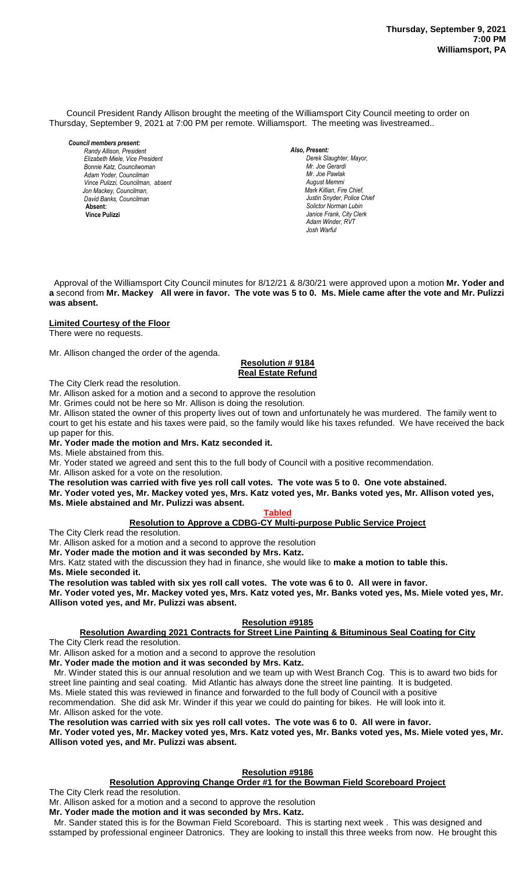Council President Randy Allison brought the meeting of the Williamsport City Council meeting to order on Thursday, September 9, 2021 at 7:00 PM per remote. Williamsport. The meeting was livestreamed..

*Council members present: Randy Allison, President , President Elizabeth Miele, Vice President Bill Hall, Councilman Bonnie Katz, Councilwoman Adam Yoder, Councilman Vince Pulizzi, Councilman, absent Jon Mackey, Councilman, David Banks, Councilman*  **Absent: Vince Pulizzi**

*Also, Present: Derek Slaughter, Mayor, Mr. Joe Gerardi Mr. Joseph Pawlak Mr. Joe Pawlak August Memmi Mark Killian, Fire Chief,* Justin Snyder, Police Chief *Solictor Norman Lubin Janice Frank, City Clerk Adam Winder, RVT Josh Warful*

 Approval of the Williamsport City Council minutes for 8/12/21 & 8/30/21 were approved upon a motion **Mr. Yoder and a** second from **Mr. Mackey All were in favor. The vote was 5 to 0. Ms. Miele came after the vote and Mr. Pulizzi was absent.**

## **Limited Courtesy of the Floor**

There were no requests.

Mr. Allison changed the order of the agenda.

#### **Resolution # 9184**  *Sol. J. David Smith* **Real Estate Refund** *Janice Frank, City Clerk, absent Dave Young, Police Chief Chief Heinbach absent*

The City Clerk read the resolution. 

Mr. Allison asked for a motion and a second to approve the resolution

Mr. Grimes could not be here so Mr. Allison is doing the resolution.

Mr. Allison stated the owner of this property lives out of town and unfortunately he was murdered. The family went to court to get his estate and his taxes were paid, so the family would like his taxes refunded. We have received the back up paper for this.

#### **Mr. Yoder made the motion and Mrs. Katz seconded it.**

Ms. Miele abstained from this.

Mr. Yoder stated we agreed and sent this to the full body of Council with a positive recommendation.

Mr. Allison asked for a vote on the resolution.

**The resolution was carried with five yes roll call votes. The vote was 5 to 0. One vote abstained.**

**Mr. Yoder voted yes, Mr. Mackey voted yes, Mrs. Katz voted yes, Mr. Banks voted yes, Mr. Allison voted yes, Ms. Miele abstained and Mr. Pulizzi was absent.**

## **Tabled**

## **Resolution to Approve a CDBG-CY Multi-purpose Public Service Project**

The City Clerk read the resolution.

Mr. Allison asked for a motion and a second to approve the resolution

**Mr. Yoder made the motion and it was seconded by Mrs. Katz.**

Mrs. Katz stated with the discussion they had in finance, she would like to **make a motion to table this. Ms. Miele seconded it.**

**The resolution was tabled with six yes roll call votes. The vote was 6 to 0. All were in favor.**

**Mr. Yoder voted yes, Mr. Mackey voted yes, Mrs. Katz voted yes, Mr. Banks voted yes, Ms. Miele voted yes, Mr. Allison voted yes, and Mr. Pulizzi was absent.**

## **Resolution #9185**

## **Resolution Awarding 2021 Contracts for Street Line Painting & Bituminous Seal Coating for City**

The City Clerk read the resolution.

Mr. Allison asked for a motion and a second to approve the resolution **Mr. Yoder made the motion and it was seconded by Mrs. Katz.**

 Mr. Winder stated this is our annual resolution and we team up with West Branch Cog. This is to award two bids for street line painting and seal coating. Mid Atlantic has always done the street line painting. It is budgeted.

Ms. Miele stated this was reviewed in finance and forwarded to the full body of Council with a positive

recommendation. She did ask Mr. Winder if this year we could do painting for bikes. He will look into it.

Mr. Allison asked for the vote.

**The resolution was carried with six yes roll call votes. The vote was 6 to 0. All were in favor. Mr. Yoder voted yes, Mr. Mackey voted yes, Mrs. Katz voted yes, Mr. Banks voted yes, Ms. Miele voted yes, Mr. Allison voted yes, and Mr. Pulizzi was absent.**

## **Resolution #9186**

**Resolution Approving Change Order #1 for the Bowman Field Scoreboard Project**

The City Clerk read the resolution.

Mr. Allison asked for a motion and a second to approve the resolution

**Mr. Yoder made the motion and it was seconded by Mrs. Katz.**

 Mr. Sander stated this is for the Bowman Field Scoreboard. This is starting next week . This was designed and sstamped by professional engineer Datronics. They are looking to install this three weeks from now. He brought this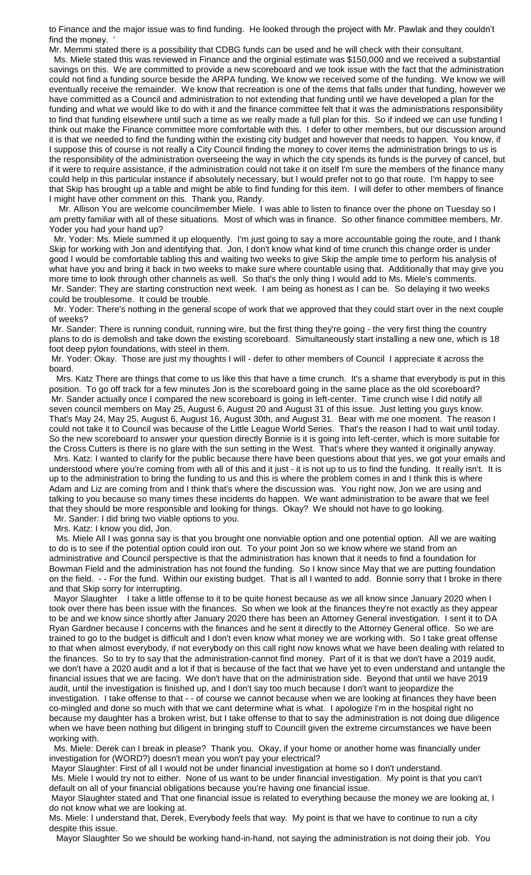to Finance and the major issue was to find funding. He looked through the project with Mr. Pawlak and they couldn't find the money.

Mr. Memmi stated there is a possibility that CDBG funds can be used and he will check with their consultant. Ms. Miele stated this was reviewed in Finance and the orginial estimate was \$150,000 and we received a substantial savings on this. We are committed to provide a new scoreboard and we took issue with the fact that the administration could not find a funding source beside the ARPA funding. We know we received some of the funding. We know we will eventually receive the remainder. We know that recreation is one of the items that falls under that funding, however we have committed as a Council and administration to not extending that funding until we have developed a plan for the funding and what we would like to do with it and the finance committee felt that it was the administrations responsibility to find that funding elsewhere until such a time as we really made a full plan for this. So if indeed we can use funding I think out make the Finance committee more comfortable with this. I defer to other members, but our discussion around it is that we needed to find the funding within the existing city budget and however that needs to happen. You know, if I suppose this of course is not really a City Council finding the money to cover items the administration brings to us is the responsibility of the administration overseeing the way in which the city spends its funds is the purvey of cancel, but if it were to require assistance, if the administration could not take it on itself I'm sure the members of the finance many could help in this particular instance if absolutely necessary, but I would prefer not to go that route. I'm happy to see that Skip has brought up a table and might be able to find funding for this item. I will defer to other members of finance I might have other comment on this. Thank you, Randy.

 Mr. Allison You are welcome councilmember Miele. I was able to listen to finance over the phone on Tuesday so I am pretty familiar with all of these situations. Most of which was in finance. So other finance committee members, Mr. Yoder you had your hand up?

 Mr. Yoder: Ms. Miele summed it up eloquently. I'm just going to say a more accountable going the route, and I thank Skip for working with Jon and identifying that. Jon, I don't know what kind of time crunch this change order is under good I would be comfortable tabling this and waiting two weeks to give Skip the ample time to perform his analysis of what have you and bring it back in two weeks to make sure where countable using that. Additionally that may give you more time to look through other channels as well. So that's the only thing I would add to Ms. Miele's comments. Mr. Sander: They are starting construction next week. I am being as honest as I can be. So delaying it two weeks could be troublesome. It could be trouble.

 Mr. Yoder: There's nothing in the general scope of work that we approved that they could start over in the next couple of weeks?

Mr. Sander: There is running conduit, running wire, but the first thing they're going - the very first thing the country plans to do is demolish and take down the existing scoreboard. Simultaneously start installing a new one, which is 18 foot deep pylon foundations, with steel in them.

Mr. Yoder: Okay. Those are just my thoughts I will - defer to other members of Council I appreciate it across the board.

 Mrs. Katz There are things that come to us like this that have a time crunch. It's a shame that everybody is put in this position. To go off track for a few minutes Jon is the scoreboard going in the same place as the old scoreboard? Mr. Sander actually once I compared the new scoreboard is going in left-center. Time crunch wise I did notify all seven council members on May 25, August 6, August 20 and August 31 of this issue. Just letting you guys know. That's May 24, May 25, August 6, August 16, August 30th, and August 31. Bear with me one moment. The reason I could not take it to Council was because of the Little League World Series. That's the reason I had to wait until today. So the new scoreboard to answer your question directly Bonnie is it is going into left-center, which is more suitable for the Cross Cutters is there is no glare with the sun setting in the West. That's where they wanted it originally anyway.

 Mrs. Katz: I wanted to clarify for the public because there have been questions about that yes, we got your emails and understood where you're coming from with all of this and it just - it is not up to us to find the funding. It really isn't. It is up to the administration to bring the funding to us and this is where the problem comes in and I think this is where Adam and Liz are coming from and I think that's where the discussion was. You right now, Jon we are using and talking to you because so many times these incidents do happen. We want administration to be aware that we feel that they should be more responsible and looking for things. Okay? We should not have to go looking. Mr. Sander: I did bring two viable options to you.

Mrs. Katz: I know you did, Jon.

 Ms. Miele All I was gonna say is that you brought one nonviable option and one potential option. All we are waiting to do is to see if the potential option could iron out. To your point Jon so we know where we stand from an administrative and Council perspective is that the administration has known that it needs to find a foundation for Bowman Field and the administration has not found the funding. So I know since May that we are putting foundation on the field. - - For the fund. Within our existing budget. That is all I wanted to add. Bonnie sorry that I broke in there and that Skip sorry for interrupting.

Mayor Slaughter I take a little offense to it to be quite honest because as we all know since January 2020 when I took over there has been issue with the finances. So when we look at the finances they're not exactly as they appear to be and we know since shortly after January 2020 there has been an Attorney General investigation. I sent it to DA Ryan Gardner because I concerns with the finances and he sent it directly to the Attorney General office. So we are trained to go to the budget is difficult and I don't even know what money we are working with. So I take great offense to that when almost everybody, if not everybody on this call right now knows what we have been dealing with related to the finances. So to try to say that the administration-cannot find money. Part of it is that we don't have a 2019 audit, we don't have a 2020 audit and a lot if that is because of the fact that we have yet to even understand and untangle the financial issues that we are facing. We don't have that on the administration side. Beyond that until we have 2019 audit, until the investigation is finished up, and I don't say too much because I don't want to jeopardize the investigation. I take offense to that - - of course we cannot because when we are looking at finances they have been co-mingled and done so much with that we cant determine what is what. I apologize I'm in the hospital right no because my daughter has a broken wrist, but I take offense to that to say the administration is not doing due diligence when we have been nothing but diligent in bringing stuff to Councill given the extreme circumstances we have been working with.

 Ms. Miele: Derek can I break in please? Thank you. Okay, if your home or another home was financially under investigation for (WORD?) doesn't mean you won't pay your electrical?

Mayor Slaughter: First of all I would not be under financial investigation at home so I don't understand.

Ms. Miele I would try not to either. None of us want to be under financial investigation. My point is that you can't default on all of your financial obligations because you're having one financial issue.

Mayor Slaughter stated and That one financial issue is related to everything because the money we are looking at, I do not know what we are looking at.

Ms. Miele: I understand that, Derek, Everybody feels that way. My point is that we have to continue to run a city despite this issue.

Mayor Slaughter So we should be working hand-in-hand, not saying the administration is not doing their job. You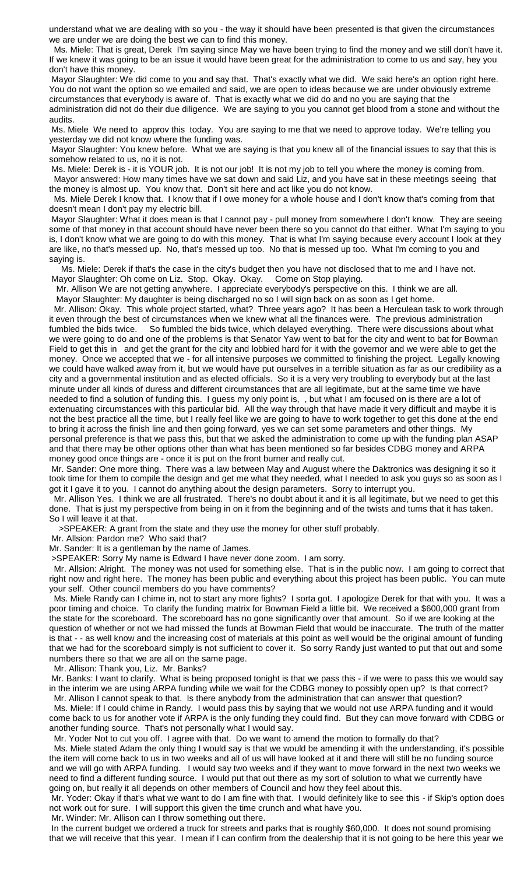understand what we are dealing with so you - the way it should have been presented is that given the circumstances we are under we are doing the best we can to find this money.

 Ms. Miele: That is great, Derek I'm saying since May we have been trying to find the money and we still don't have it. If we knew it was going to be an issue it would have been great for the administration to come to us and say, hey you don't have this money.

Mayor Slaughter: We did come to you and say that. That's exactly what we did. We said here's an option right here. You do not want the option so we emailed and said, we are open to ideas because we are under obviously extreme circumstances that everybody is aware of. That is exactly what we did do and no you are saying that the

administration did not do their due diligence. We are saying to you you cannot get blood from a stone and without the audits.

Ms. Miele We need to approv this today. You are saying to me that we need to approve today. We're telling you yesterday we did not know where the funding was.

Mayor Slaughter: You knew before. What we are saying is that you knew all of the financial issues to say that this is somehow related to us, no it is not.

Ms. Miele: Derek is - it is YOUR job. It is not our job! It is not my job to tell you where the money is coming from. Mayor answered: How many times have we sat down and said Liz, and you have sat in these meetings seeing that the money is almost up. You know that. Don't sit here and act like you do not know.

 Ms. Miele Derek I know that. I know that if I owe money for a whole house and I don't know that's coming from that doesn't mean I don't pay my electric bill.

Mayor Slaughter: What it does mean is that I cannot pay - pull money from somewhere I don't know. They are seeing some of that money in that account should have never been there so you cannot do that either. What I'm saying to you is, I don't know what we are going to do with this money. That is what I'm saying because every account I look at they are like, no that's messed up. No, that's messed up too. No that is messed up too. What I'm coming to you and saying is.

 Ms. Miele: Derek if that's the case in the city's budget then you have not disclosed that to me and I have not. Mayor Slaughter: Oh come on Liz. Stop. Okay. Okay. Come on Stop playing.

 Mr. Allison We are not getting anywhere. I appreciate everybody's perspective on this. I think we are all. Mayor Slaughter: My daughter is being discharged no so I will sign back on as soon as I get home.

 Mr. Allison: Okay. This whole project started, what? Three years ago? It has been a Herculean task to work through it even through the best of circumstances when we knew what all the finances were. The previous administration fumbled the bids twice. So fumbled the bids twice, which delayed everything. There were discussions about what we were going to do and one of the problems is that Senator Yaw went to bat for the city and went to bat for Bowman Field to get this in and get the grant for the city and lobbied hard for it with the governor and we were able to get the money. Once we accepted that we - for all intensive purposes we committed to finishing the project. Legally knowing we could have walked away from it, but we would have put ourselves in a terrible situation as far as our credibility as a city and a governmental institution and as elected officials. So it is a very very troubling to everybody but at the last minute under all kinds of duress and different circumstances that are all legitimate, but at the same time we have needed to find a solution of funding this. I guess my only point is, , but what I am focused on is there are a lot of extenuating circumstances with this particular bid. All the way through that have made it very difficult and maybe it is not the best practice all the time, but I really feel like we are going to have to work together to get this done at the end to bring it across the finish line and then going forward, yes we can set some parameters and other things. My personal preference is that we pass this, but that we asked the administration to come up with the funding plan ASAP and that there may be other options other than what has been mentioned so far besides CDBG money and ARPA money good once things are - once it is put on the front burner and really cut.

Mr. Sander: One more thing. There was a law between May and August where the Daktronics was designing it so it took time for them to compile the design and get me what they needed, what I needed to ask you guys so as soon as I got it I gave it to you. I cannot do anything about the design parameters. Sorry to interrupt you.

 Mr. Allison Yes. I think we are all frustrated. There's no doubt about it and it is all legitimate, but we need to get this done. That is just my perspective from being in on it from the beginning and of the twists and turns that it has taken. So I will leave it at that.

>SPEAKER: A grant from the state and they use the money for other stuff probably.

Mr. Allsion: Pardon me? Who said that?

Mr. Sander: It is a gentleman by the name of James.

>SPEAKER: Sorry My name is Edward I have never done zoom. I am sorry.

 Mr. Allsion: Alright. The money was not used for something else. That is in the public now. I am going to correct that right now and right here. The money has been public and everything about this project has been public. You can mute your self. Other council members do you have comments?

 Ms. Miele Randy can I chime in, not to start any more fights? I sorta got. I apologize Derek for that with you. It was a poor timing and choice. To clarify the funding matrix for Bowman Field a little bit. We received a \$600,000 grant from the state for the scoreboard. The scoreboard has no gone significantly over that amount. So if we are looking at the question of whether or not we had missed the funds at Bowman Field that would be inaccurate. The truth of the matter is that - - as well know and the increasing cost of materials at this point as well would be the original amount of funding that we had for the scoreboard simply is not sufficient to cover it. So sorry Randy just wanted to put that out and some numbers there so that we are all on the same page.

Mr. Allison: Thank you, Liz. Mr. Banks?

Mr. Banks: I want to clarify. What is being proposed tonight is that we pass this - if we were to pass this we would say in the interim we are using ARPA funding while we wait for the CDBG money to possibly open up? Is that correct?

 Mr. Allison I cannot speak to that. Is there anybody from the administration that can answer that question? Ms. Miele: If I could chime in Randy. I would pass this by saying that we would not use ARPA funding and it would come back to us for another vote if ARPA is the only funding they could find. But they can move forward with CDBG or another funding source. That's not personally what I would say.

Mr. Yoder Not to cut you off. I agree with that. Do we want to amend the motion to formally do that?

 Ms. Miele stated Adam the only thing I would say is that we would be amending it with the understanding, it's possible the item will come back to us in two weeks and all of us will have looked at it and there will still be no funding source and we will go with ARPA funding. I would say two weeks and if they want to move forward in the next two weeks we need to find a different funding source. I would put that out there as my sort of solution to what we currently have going on, but really it all depends on other members of Council and how they feel about this.

Mr. Yoder: Okay if that's what we want to do I am fine with that. I would definitely like to see this - if Skip's option does not work out for sure. I will support this given the time crunch and what have you.

Mr. Winder: Mr. Allison can I throw something out there.

In the current budget we ordered a truck for streets and parks that is roughly \$60,000. It does not sound promising that we will receive that this year. I mean if I can confirm from the dealership that it is not going to be here this year we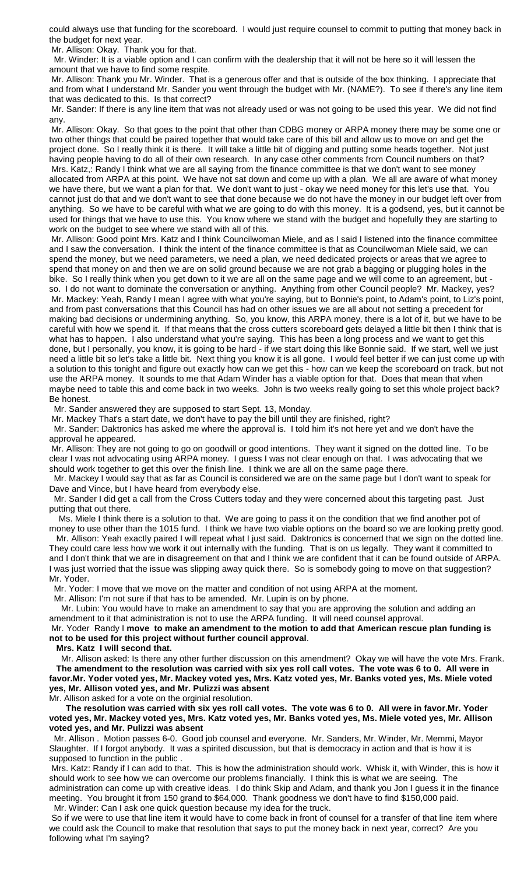could always use that funding for the scoreboard. I would just require counsel to commit to putting that money back in the budget for next year.

Mr. Allison: Okay. Thank you for that.

 Mr. Winder: It is a viable option and I can confirm with the dealership that it will not be here so it will lessen the amount that we have to find some respite.

Mr. Allison: Thank you Mr. Winder. That is a generous offer and that is outside of the box thinking. I appreciate that and from what I understand Mr. Sander you went through the budget with Mr. (NAME?). To see if there's any line item that was dedicated to this. Is that correct?

Mr. Sander: If there is any line item that was not already used or was not going to be used this year. We did not find any.

Mr. Allison: Okay. So that goes to the point that other than CDBG money or ARPA money there may be some one or two other things that could be paired together that would take care of this bill and allow us to move on and get the project done. So I really think it is there. It will take a little bit of digging and putting some heads together. Not just having people having to do all of their own research. In any case other comments from Council numbers on that? Mrs. Katz,: Randy I think what we are all saying from the finance committee is that we don't want to see money allocated from ARPA at this point. We have not sat down and come up with a plan. We all are aware of what money we have there, but we want a plan for that. We don't want to just - okay we need money for this let's use that. You cannot just do that and we don't want to see that done because we do not have the money in our budget left over from anything. So we have to be careful with what we are going to do with this money. It is a godsend, yes, but it cannot be used for things that we have to use this. You know where we stand with the budget and hopefully they are starting to work on the budget to see where we stand with all of this.

Mr. Allison: Good point Mrs. Katz and I think Councilwoman Miele, and as I said I listened into the finance committee and I saw the conversation. I think the intent of the finance committee is that as Councilwoman Miele said, we can spend the money, but we need parameters, we need a plan, we need dedicated projects or areas that we agree to spend that money on and then we are on solid ground because we are not grab a bagging or plugging holes in the bike. So I really think when you get down to it we are all on the same page and we will come to an agreement, but so. I do not want to dominate the conversation or anything. Anything from other Council people? Mr. Mackey, yes? Mr. Mackey: Yeah, Randy I mean I agree with what you're saying, but to Bonnie's point, to Adam's point, to Liz's point, and from past conversations that this Council has had on other issues we are all about not setting a precedent for making bad decisions or undermining anything. So, you know, this ARPA money, there is a lot of it, but we have to be careful with how we spend it. If that means that the cross cutters scoreboard gets delayed a little bit then I think that is what has to happen. I also understand what you're saying. This has been a long process and we want to get this done, but I personally, you know, it is going to be hard - if we start doing this like Bonnie said. If we start, well we just need a little bit so let's take a little bit. Next thing you know it is all gone. I would feel better if we can just come up with a solution to this tonight and figure out exactly how can we get this - how can we keep the scoreboard on track, but not use the ARPA money. It sounds to me that Adam Winder has a viable option for that. Does that mean that when maybe need to table this and come back in two weeks. John is two weeks really going to set this whole project back? Be honest.

Mr. Sander answered they are supposed to start Sept. 13, Monday.

Mr. Mackey That's a start date, we don't have to pay the bill until they are finished, right?

 Mr. Sander: Daktronics has asked me where the approval is. I told him it's not here yet and we don't have the approval he appeared.

Mr. Allison: They are not going to go on goodwill or good intentions. They want it signed on the dotted line. To be clear I was not advocating using ARPA money. I guess I was not clear enough on that. I was advocating that we should work together to get this over the finish line. I think we are all on the same page there.

 Mr. Mackey I would say that as far as Council is considered we are on the same page but I don't want to speak for Dave and Vince, but I have heard from everybody else.

 Mr. Sander I did get a call from the Cross Cutters today and they were concerned about this targeting past. Just putting that out there.

 Ms. Miele I think there is a solution to that. We are going to pass it on the condition that we find another pot of money to use other than the 1015 fund. I think we have two viable options on the board so we are looking pretty good.

 Mr. Allison: Yeah exactly paired I will repeat what I just said. Daktronics is concerned that we sign on the dotted line. They could care less how we work it out internally with the funding. That is on us legally. They want it committed to and I don't think that we are in disagreement on that and I think we are confident that it can be found outside of ARPA. I was just worried that the issue was slipping away quick there. So is somebody going to move on that suggestion? Mr. Yoder.

Mr. Yoder: I move that we move on the matter and condition of not using ARPA at the moment.

Mr. Allison: I'm not sure if that has to be amended. Mr. Lupin is on by phone.

 Mr. Lubin: You would have to make an amendment to say that you are approving the solution and adding an amendment to it that administration is not to use the ARPA funding. It will need counsel approval.

Mr. Yoder Randy I **move to make an amendment to the motion to add that American rescue plan funding is not to be used for this project without further council approval**.

**Mrs. Katz I will second that.**

 Mr. Allison asked: Is there any other further discussion on this amendment? Okay we will have the vote Mrs. Frank. **The amendment to the resolution was carried with six yes roll call votes. The vote was 6 to 0. All were in favor.Mr. Yoder voted yes, Mr. Mackey voted yes, Mrs. Katz voted yes, Mr. Banks voted yes, Ms. Miele voted yes, Mr. Allison voted yes, and Mr. Pulizzi was absent**

Mr. Allison asked for a vote on the orginial resolution.

 **The resolution was carried with six yes roll call votes. The vote was 6 to 0. All were in favor.Mr. Yoder voted yes, Mr. Mackey voted yes, Mrs. Katz voted yes, Mr. Banks voted yes, Ms. Miele voted yes, Mr. Allison voted yes, and Mr. Pulizzi was absent**

 Mr. Allison . Motion passes 6-0. Good job counsel and everyone. Mr. Sanders, Mr. Winder, Mr. Memmi, Mayor Slaughter. If I forgot anybody. It was a spirited discussion, but that is democracy in action and that is how it is supposed to function in the public .

Mrs. Katz: Randy if I can add to that. This is how the administration should work. Whisk it, with Winder, this is how it should work to see how we can overcome our problems financially. I think this is what we are seeing. The administration can come up with creative ideas. I do think Skip and Adam, and thank you Jon I guess it in the finance meeting. You brought it from 150 grand to \$64,000. Thank goodness we don't have to find \$150,000 paid. Mr. Winder: Can I ask one quick question because my idea for the truck.

So if we were to use that line item it would have to come back in front of counsel for a transfer of that line item where we could ask the Council to make that resolution that says to put the money back in next year, correct? Are you following what I'm saying?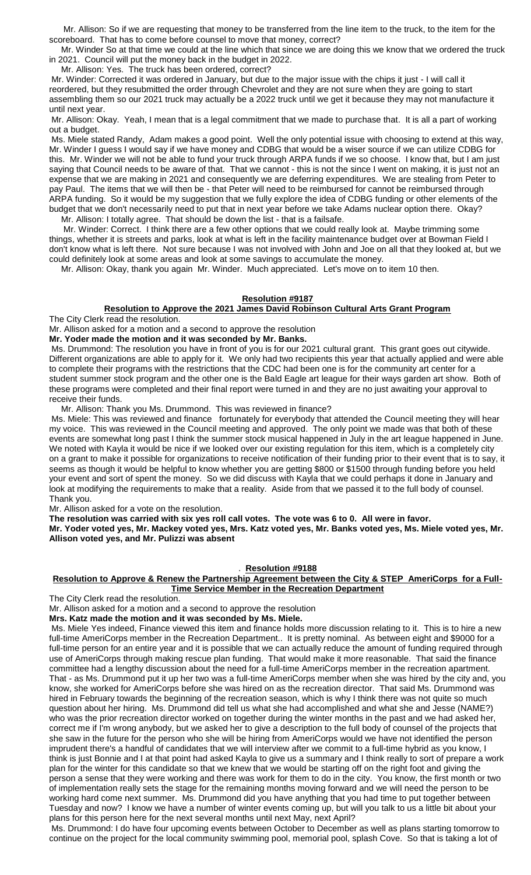Mr. Allison: So if we are requesting that money to be transferred from the line item to the truck, to the item for the scoreboard. That has to come before counsel to move that money, correct?

 Mr. Winder So at that time we could at the line which that since we are doing this we know that we ordered the truck in 2021. Council will put the money back in the budget in 2022.

Mr. Allison: Yes. The truck has been ordered, correct?

Mr. Winder: Corrected it was ordered in January, but due to the major issue with the chips it just - I will call it reordered, but they resubmitted the order through Chevrolet and they are not sure when they are going to start assembling them so our 2021 truck may actually be a 2022 truck until we get it because they may not manufacture it until next year.

Mr. Allison: Okay. Yeah, I mean that is a legal commitment that we made to purchase that. It is all a part of working out a budget.

Ms. Miele stated Randy, Adam makes a good point. Well the only potential issue with choosing to extend at this way, Mr. Winder I guess I would say if we have money and CDBG that would be a wiser source if we can utilize CDBG for this. Mr. Winder we will not be able to fund your truck through ARPA funds if we so choose. I know that, but I am just saying that Council needs to be aware of that. That we cannot - this is not the since I went on making, it is just not an expense that we are making in 2021 and consequently we are deferring expenditures. We are stealing from Peter to pay Paul. The items that we will then be - that Peter will need to be reimbursed for cannot be reimbursed through ARPA funding. So it would be my suggestion that we fully explore the idea of CDBG funding or other elements of the budget that we don't necessarily need to put that in next year before we take Adams nuclear option there. Okay?

Mr. Allison: I totally agree. That should be down the list - that is a failsafe.

 Mr. Winder: Correct. I think there are a few other options that we could really look at. Maybe trimming some things, whether it is streets and parks, look at what is left in the facility maintenance budget over at Bowman Field I don't know what is left there. Not sure because I was not involved with John and Joe on all that they looked at, but we could definitely look at some areas and look at some savings to accumulate the money.

Mr. Allison: Okay, thank you again Mr. Winder. Much appreciated. Let's move on to item 10 then.

## **Resolution #9187**

#### **Resolution to Approve the 2021 James David Robinson Cultural Arts Grant Program** The City Clerk read the resolution.

Mr. Allison asked for a motion and a second to approve the resolution

**Mr. Yoder made the motion and it was seconded by Mr. Banks.**

Ms. Drummond: The resolution you have in front of you is for our 2021 cultural grant. This grant goes out citywide. Different organizations are able to apply for it. We only had two recipients this year that actually applied and were able to complete their programs with the restrictions that the CDC had been one is for the community art center for a student summer stock program and the other one is the Bald Eagle art league for their ways garden art show. Both of these programs were completed and their final report were turned in and they are no just awaiting your approval to receive their funds.

Mr. Allison: Thank you Ms. Drummond. This was reviewed in finance?

Ms. Miele: This was reviewed and finance fortunately for everybody that attended the Council meeting they will hear my voice. This was reviewed in the Council meeting and approved. The only point we made was that both of these events are somewhat long past I think the summer stock musical happened in July in the art league happened in June. We noted with Kayla it would be nice if we looked over our existing regulation for this item, which is a completely city on a grant to make it possible for organizations to receive notification of their funding prior to their event that is to say, it seems as though it would be helpful to know whether you are getting \$800 or \$1500 through funding before you held your event and sort of spent the money. So we did discuss with Kayla that we could perhaps it done in January and look at modifying the requirements to make that a reality. Aside from that we passed it to the full body of counsel. Thank you.

Mr. Allison asked for a vote on the resolution.

**The resolution was carried with six yes roll call votes. The vote was 6 to 0. All were in favor.**

**Mr. Yoder voted yes, Mr. Mackey voted yes, Mrs. Katz voted yes, Mr. Banks voted yes, Ms. Miele voted yes, Mr. Allison voted yes, and Mr. Pulizzi was absent**

#### . **Resolution #9188**

#### **Resolution to Approve & Renew the Partnership Agreement between the City & STEP AmeriCorps for a Full-Time Service Member in the Recreation Department**

The City Clerk read the resolution.

Mr. Allison asked for a motion and a second to approve the resolution

**Mrs. Katz made the motion and it was seconded by Ms. Miele.**

Ms. Miele Yes indeed, Finance viewed this item and finance holds more discussion relating to it. This is to hire a new full-time AmeriCorps member in the Recreation Department.. It is pretty nominal. As between eight and \$9000 for a full-time person for an entire year and it is possible that we can actually reduce the amount of funding required through use of AmeriCorps through making rescue plan funding. That would make it more reasonable. That said the finance committee had a lengthy discussion about the need for a full-time AmeriCorps member in the recreation apartment. That - as Ms. Drummond put it up her two was a full-time AmeriCorps member when she was hired by the city and, you know, she worked for AmeriCorps before she was hired on as the recreation director. That said Ms. Drummond was hired in February towards the beginning of the recreation season, which is why I think there was not quite so much question about her hiring. Ms. Drummond did tell us what she had accomplished and what she and Jesse (NAME?) who was the prior recreation director worked on together during the winter months in the past and we had asked her, correct me if I'm wrong anybody, but we asked her to give a description to the full body of counsel of the projects that she saw in the future for the person who she will be hiring from AmeriCorps would we have not identified the person imprudent there's a handful of candidates that we will interview after we commit to a full-time hybrid as you know, I think is just Bonnie and I at that point had asked Kayla to give us a summary and I think really to sort of prepare a work plan for the winter for this candidate so that we knew that we would be starting off on the right foot and giving the person a sense that they were working and there was work for them to do in the city. You know, the first month or two of implementation really sets the stage for the remaining months moving forward and we will need the person to be working hard come next summer. Ms. Drummond did you have anything that you had time to put together between Tuesday and now? I know we have a number of winter events coming up, but will you talk to us a little bit about your plans for this person here for the next several months until next May, next April?

Ms. Drummond: I do have four upcoming events between October to December as well as plans starting tomorrow to continue on the project for the local community swimming pool, memorial pool, splash Cove. So that is taking a lot of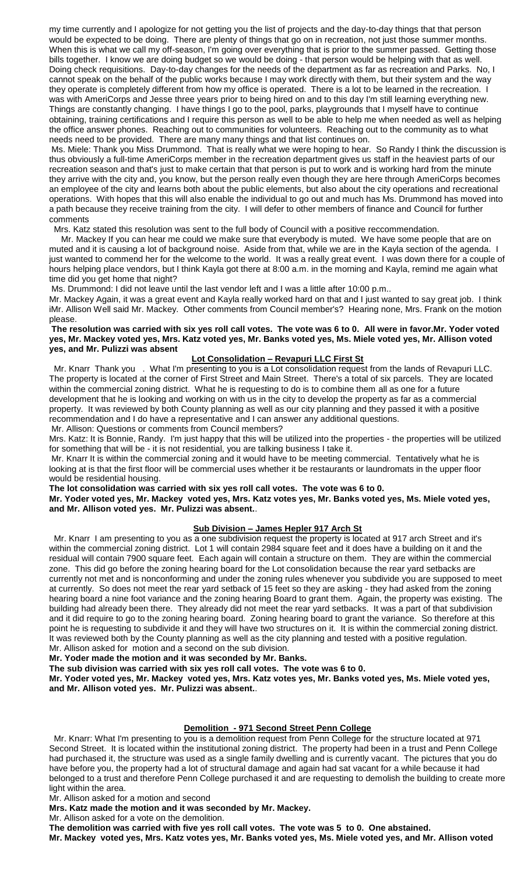my time currently and I apologize for not getting you the list of projects and the day-to-day things that that person would be expected to be doing. There are plenty of things that go on in recreation, not just those summer months. When this is what we call my off-season, I'm going over everything that is prior to the summer passed. Getting those bills together. I know we are doing budget so we would be doing - that person would be helping with that as well. Doing check requisitions. Day-to-day changes for the needs of the department as far as recreation and Parks. No, I cannot speak on the behalf of the public works because I may work directly with them, but their system and the way they operate is completely different from how my office is operated. There is a lot to be learned in the recreation. I was with AmeriCorps and Jesse three years prior to being hired on and to this day I'm still learning everything new. Things are constantly changing. I have things I go to the pool, parks, playgrounds that I myself have to continue obtaining, training certifications and I require this person as well to be able to help me when needed as well as helping the office answer phones. Reaching out to communities for volunteers. Reaching out to the community as to what needs need to be provided. There are many many things and that list continues on.

Ms. Miele: Thank you Miss Drummond. That is really what we were hoping to hear. So Randy I think the discussion is thus obviously a full-time AmeriCorps member in the recreation department gives us staff in the heaviest parts of our recreation season and that's just to make certain that that person is put to work and is working hard from the minute they arrive with the city and, you know, but the person really even though they are here through AmeriCorps becomes an employee of the city and learns both about the public elements, but also about the city operations and recreational operations. With hopes that this will also enable the individual to go out and much has Ms. Drummond has moved into a path because they receive training from the city. I will defer to other members of finance and Council for further comments

Mrs. Katz stated this resolution was sent to the full body of Council with a positive reccommendation.

 Mr. Mackey If you can hear me could we make sure that everybody is muted. We have some people that are on muted and it is causing a lot of background noise. Aside from that, while we are in the Kayla section of the agenda. I just wanted to commend her for the welcome to the world. It was a really great event. I was down there for a couple of hours helping place vendors, but I think Kayla got there at 8:00 a.m. in the morning and Kayla, remind me again what time did you get home that night?

Ms. Drummond: I did not leave until the last vendor left and I was a little after 10:00 p.m..

Mr. Mackey Again, it was a great event and Kayla really worked hard on that and I just wanted to say great job. I think iMr. Allison Well said Mr. Mackey. Other comments from Council member's? Hearing none, Mrs. Frank on the motion please.

#### **The resolution was carried with six yes roll call votes. The vote was 6 to 0. All were in favor.Mr. Yoder voted yes, Mr. Mackey voted yes, Mrs. Katz voted yes, Mr. Banks voted yes, Ms. Miele voted yes, Mr. Allison voted yes, and Mr. Pulizzi was absent**

## **Lot Consolidation – Revapuri LLC First St**

 Mr. Knarr Thank you . What I'm presenting to you is a Lot consolidation request from the lands of Revapuri LLC. The property is located at the corner of First Street and Main Street. There's a total of six parcels. They are located within the commercial zoning district. What he is requesting to do is to combine them all as one for a future development that he is looking and working on with us in the city to develop the property as far as a commercial property. It was reviewed by both County planning as well as our city planning and they passed it with a positive recommendation and I do have a representative and I can answer any additional questions.

Mr. Allison: Questions or comments from Council members?

Mrs. Katz: It is Bonnie, Randy. I'm just happy that this will be utilized into the properties - the properties will be utilized for something that will be - it is not residential, you are talking business I take it.

Mr. Knarr It is within the commercial zoning and it would have to be meeting commercial. Tentatively what he is looking at is that the first floor will be commercial uses whether it be restaurants or laundromats in the upper floor would be residential housing.

**The lot consolidation was carried with six yes roll call votes. The vote was 6 to 0.**

**Mr. Yoder voted yes, Mr. Mackey voted yes, Mrs. Katz votes yes, Mr. Banks voted yes, Ms. Miele voted yes, and Mr. Allison voted yes. Mr. Pulizzi was absent.**.

## **Sub Division – James Hepler 917 Arch St**

 Mr. Knarr I am presenting to you as a one subdivision request the property is located at 917 arch Street and it's within the commercial zoning district. Lot 1 will contain 2984 square feet and it does have a building on it and the residual will contain 7900 square feet. Each again will contain a structure on them. They are within the commercial zone. This did go before the zoning hearing board for the Lot consolidation because the rear yard setbacks are currently not met and is nonconforming and under the zoning rules whenever you subdivide you are supposed to meet at currently. So does not meet the rear yard setback of 15 feet so they are asking - they had asked from the zoning hearing board a nine foot variance and the zoning hearing Board to grant them. Again, the property was existing. The building had already been there. They already did not meet the rear yard setbacks. It was a part of that subdivision and it did require to go to the zoning hearing board. Zoning hearing board to grant the variance. So therefore at this point he is requesting to subdivide it and they will have two structures on it. It is within the commercial zoning district. It was reviewed both by the County planning as well as the city planning and tested with a positive regulation. Mr. Allison asked for motion and a second on the sub division.

**Mr. Yoder made the motion and it was seconded by Mr. Banks.**

**The sub division was carried with six yes roll call votes. The vote was 6 to 0.**

**Mr. Yoder voted yes, Mr. Mackey voted yes, Mrs. Katz votes yes, Mr. Banks voted yes, Ms. Miele voted yes, and Mr. Allison voted yes. Mr. Pulizzi was absent.**.

#### **Demolition - 971 Second Street Penn College**

 Mr. Knarr: What I'm presenting to you is a demolition request from Penn College for the structure located at 971 Second Street. It is located within the institutional zoning district. The property had been in a trust and Penn College had purchased it, the structure was used as a single family dwelling and is currently vacant. The pictures that you do have before you, the property had a lot of structural damage and again had sat vacant for a while because it had belonged to a trust and therefore Penn College purchased it and are requesting to demolish the building to create more light within the area.

Mr. Allison asked for a motion and second

**Mrs. Katz made the motion and it was seconded by Mr. Mackey.**

Mr. Allison asked for a vote on the demolition.

**The demolition was carried with five yes roll call votes. The vote was 5 to 0. One abstained.**

**Mr. Mackey voted yes, Mrs. Katz votes yes, Mr. Banks voted yes, Ms. Miele voted yes, and Mr. Allison voted**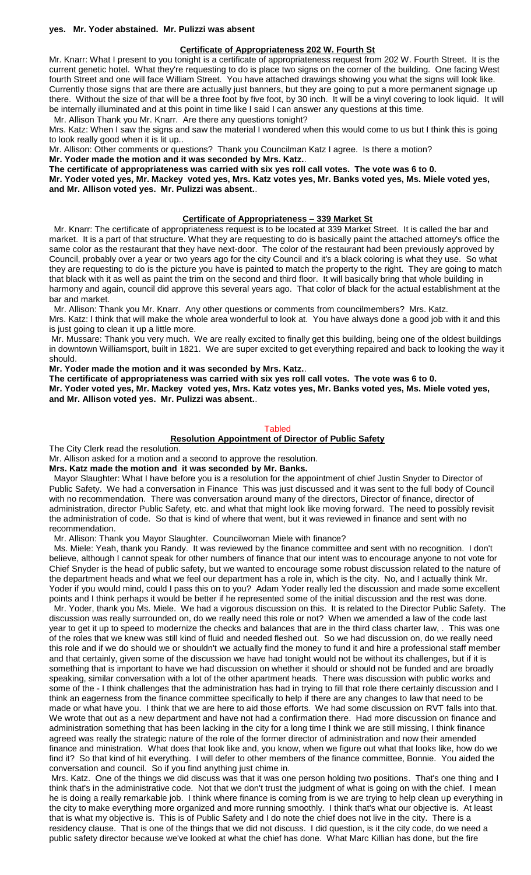#### **yes. Mr. Yoder abstained. Mr. Pulizzi was absent**

#### **Certificate of Appropriateness 202 W. Fourth St**

Mr. Knarr: What I present to you tonight is a certificate of appropriateness request from 202 W. Fourth Street. It is the current genetic hotel. What they're requesting to do is place two signs on the corner of the building. One facing West fourth Street and one will face William Street. You have attached drawings showing you what the signs will look like. Currently those signs that are there are actually just banners, but they are going to put a more permanent signage up there. Without the size of that will be a three foot by five foot, by 30 inch. It will be a vinyl covering to look liquid. It will be internally illuminated and at this point in time like I said I can answer any questions at this time.

Mr. Allison Thank you Mr. Knarr. Are there any questions tonight?

Mrs. Katz: When I saw the signs and saw the material I wondered when this would come to us but I think this is going to look really good when it is lit up..

Mr. Allison: Other comments or questions? Thank you Councilman Katz I agree. Is there a motion?

**Mr. Yoder made the motion and it was seconded by Mrs. Katz.**.

**The certificate of appropriateness was carried with six yes roll call votes. The vote was 6 to 0.**

**Mr. Yoder voted yes, Mr. Mackey voted yes, Mrs. Katz votes yes, Mr. Banks voted yes, Ms. Miele voted yes, and Mr. Allison voted yes. Mr. Pulizzi was absent.**.

## **Certificate of Appropriateness – 339 Market St**

 Mr. Knarr: The certificate of appropriateness request is to be located at 339 Market Street. It is called the bar and market. It is a part of that structure. What they are requesting to do is basically paint the attached attorney's office the same color as the restaurant that they have next-door. The color of the restaurant had been previously approved by Council, probably over a year or two years ago for the city Council and it's a black coloring is what they use. So what they are requesting to do is the picture you have is painted to match the property to the right. They are going to match that black with it as well as paint the trim on the second and third floor. It will basically bring that whole building in harmony and again, council did approve this several years ago. That color of black for the actual establishment at the bar and market.

 Mr. Allison: Thank you Mr. Knarr. Any other questions or comments from councilmembers? Mrs. Katz. Mrs. Katz: I think that will make the whole area wonderful to look at. You have always done a good job with it and this

is just going to clean it up a little more.

Mr. Mussare: Thank you very much. We are really excited to finally get this building, being one of the oldest buildings in downtown Williamsport, built in 1821. We are super excited to get everything repaired and back to looking the way it should.

**Mr. Yoder made the motion and it was seconded by Mrs. Katz.**.

**The certificate of appropriateness was carried with six yes roll call votes. The vote was 6 to 0.**

**Mr. Yoder voted yes, Mr. Mackey voted yes, Mrs. Katz votes yes, Mr. Banks voted yes, Ms. Miele voted yes, and Mr. Allison voted yes. Mr. Pulizzi was absent.**.

#### **Tabled**

#### **Resolution Appointment of Director of Public Safety**

The City Clerk read the resolution.

Mr. Allison asked for a motion and a second to approve the resolution.

**Mrs. Katz made the motion and it was seconded by Mr. Banks.**

 Mayor Slaughter: What I have before you is a resolution for the appointment of chief Justin Snyder to Director of Public Safety. We had a conversation in Finance This was just discussed and it was sent to the full body of Council with no recommendation. There was conversation around many of the directors, Director of finance, director of administration, director Public Safety, etc. and what that might look like moving forward. The need to possibly revisit the administration of code. So that is kind of where that went, but it was reviewed in finance and sent with no recommendation.

Mr. Allison: Thank you Mayor Slaughter. Councilwoman Miele with finance?

 Ms. Miele: Yeah, thank you Randy. It was reviewed by the finance committee and sent with no recognition. I don't believe, although I cannot speak for other numbers of finance that our intent was to encourage anyone to not vote for Chief Snyder is the head of public safety, but we wanted to encourage some robust discussion related to the nature of the department heads and what we feel our department has a role in, which is the city. No, and I actually think Mr. Yoder if you would mind, could I pass this on to you? Adam Yoder really led the discussion and made some excellent points and I think perhaps it would be better if he represented some of the initial discussion and the rest was done.

 Mr. Yoder, thank you Ms. Miele. We had a vigorous discussion on this. It is related to the Director Public Safety. The discussion was really surrounded on, do we really need this role or not? When we amended a law of the code last year to get it up to speed to modernize the checks and balances that are in the third class charter law, . This was one of the roles that we knew was still kind of fluid and needed fleshed out. So we had discussion on, do we really need this role and if we do should we or shouldn't we actually find the money to fund it and hire a professional staff member and that certainly, given some of the discussion we have had tonight would not be without its challenges, but if it is something that is important to have we had discussion on whether it should or should not be funded and are broadly speaking, similar conversation with a lot of the other apartment heads. There was discussion with public works and some of the - I think challenges that the administration has had in trying to fill that role there certainly discussion and I think an eagerness from the finance committee specifically to help if there are any changes to law that need to be made or what have you. I think that we are here to aid those efforts. We had some discussion on RVT falls into that. We wrote that out as a new department and have not had a confirmation there. Had more discussion on finance and administration something that has been lacking in the city for a long time I think we are still missing, I think finance agreed was really the strategic nature of the role of the former director of administration and now their amended finance and ministration. What does that look like and, you know, when we figure out what that looks like, how do we find it? So that kind of hit everything. I will defer to other members of the finance committee, Bonnie. You aided the conversation and council. So if you find anything just chime in.

Mrs. Katz. One of the things we did discuss was that it was one person holding two positions. That's one thing and I think that's in the administrative code. Not that we don't trust the judgment of what is going on with the chief. I mean he is doing a really remarkable job. I think where finance is coming from is we are trying to help clean up everything in the city to make everything more organized and more running smoothly. I think that's what our objective is. At least that is what my objective is. This is of Public Safety and I do note the chief does not live in the city. There is a residency clause. That is one of the things that we did not discuss. I did question, is it the city code, do we need a public safety director because we've looked at what the chief has done. What Marc Killian has done, but the fire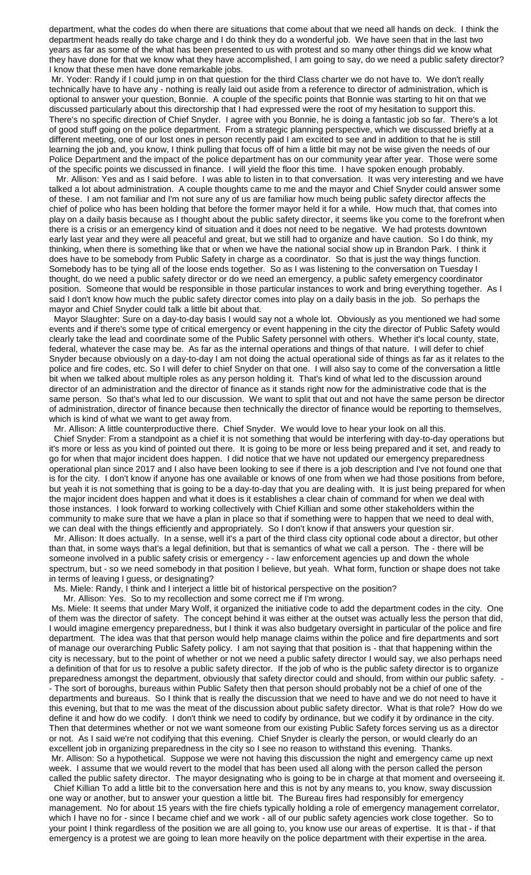department, what the codes do when there are situations that come about that we need all hands on deck. I think the department heads really do take charge and I do think they do a wonderful job. We have seen that in the last two years as far as some of the what has been presented to us with protest and so many other things did we know what they have done for that we know what they have accomplished, I am going to say, do we need a public safety director? I know that these men have done remarkable jobs.

Mr. Yoder: Randy if I could jump in on that question for the third Class charter we do not have to. We don't really technically have to have any - nothing is really laid out aside from a reference to director of administration, which is optional to answer your question, Bonnie. A couple of the specific points that Bonnie was starting to hit on that we discussed particularly about this directorship that I had expressed were the root of my hesitation to support this. There's no specific direction of Chief Snyder. I agree with you Bonnie, he is doing a fantastic job so far. There's a lot of good stuff going on the police department. From a strategic planning perspective, which we discussed briefly at a different meeting, one of our lost ones in person recently paid I am excited to see and in addition to that he is still learning the job and, you know, I think pulling that focus off of him a little bit may not be wise given the needs of our Police Department and the impact of the police department has on our community year after year. Those were some of the specific points we discussed in finance. I will yield the floor this time. I have spoken enough probably.

 Mr. Allison: Yes and as I said before. I was able to listen in to that conversation. It was very interesting and we have talked a lot about administration. A couple thoughts came to me and the mayor and Chief Snyder could answer some of these. I am not familiar and I'm not sure any of us are familiar how much being public safety director affects the chief of police who has been holding that before the former mayor held it for a while. How much that, that comes into play on a daily basis because as I thought about the public safety director, it seems like you come to the forefront when there is a crisis or an emergency kind of situation and it does not need to be negative. We had protests downtown early last year and they were all peaceful and great, but we still had to organize and have caution. So I do think, my thinking, when there is something like that or when we have the national social show up in Brandon Park. I think it does have to be somebody from Public Safety in charge as a coordinator. So that is just the way things function. Somebody has to be tying all of the loose ends together. So as I was listening to the conversation on Tuesday I thought, do we need a public safety director or do we need an emergency, a public safety emergency coordinator position. Someone that would be responsible in those particular instances to work and bring everything together. As I said I don't know how much the public safety director comes into play on a daily basis in the job. So perhaps the mayor and Chief Snyder could talk a little bit about that.

 Mayor Slaughter: Sure on a day-to-day basis I would say not a whole lot. Obviously as you mentioned we had some events and if there's some type of critical emergency or event happening in the city the director of Public Safety would clearly take the lead and coordinate some of the Public Safety personnel with others. Whether it's local county, state, federal, whatever the case may be. As far as the internal operations and things of that nature. I will defer to chief Snyder because obviously on a day-to-day I am not doing the actual operational side of things as far as it relates to the police and fire codes, etc. So I will defer to chief Snyder on that one. I will also say to come of the conversation a little bit when we talked about multiple roles as any person holding it. That's kind of what led to the discussion around director of an administration and the director of finance as it stands right now for the administrative code that is the same person. So that's what led to our discussion. We want to split that out and not have the same person be director of administration, director of finance because then technically the director of finance would be reporting to themselves, which is kind of what we want to get away from.

Mr. Allison: A little counterproductive there. Chief Snyder. We would love to hear your look on all this.

 Chief Snyder: From a standpoint as a chief it is not something that would be interfering with day-to-day operations but it's more or less as you kind of pointed out there. It is going to be more or less being prepared and it set, and ready to go for when that major incident does happen. I did notice that we have not updated our emergency preparedness operational plan since 2017 and I also have been looking to see if there is a job description and I've not found one that is for the city. I don't know if anyone has one available or knows of one from when we had those positions from before, but yeah it is not something that is going to be a day-to-day that you are dealing with. It is just being prepared for when the major incident does happen and what it does is it establishes a clear chain of command for when we deal with those instances. I look forward to working collectively with Chief Killian and some other stakeholders within the community to make sure that we have a plan in place so that if something were to happen that we need to deal with, we can deal with the things efficiently and appropriately. So I don't know if that answers your question sir.

 Mr. Allison: It does actually. In a sense, well it's a part of the third class city optional code about a director, but other than that, in some ways that's a legal definition, but that is semantics of what we call a person. The - there will be someone involved in a public safety crisis or emergency - - law enforcement agencies up and down the whole spectrum, but - so we need somebody in that position I believe, but yeah. What form, function or shape does not take in terms of leaving I guess, or designating?

Ms. Miele: Randy, I think and I interject a little bit of historical perspective on the position?

Mr. Allison: Yes. So to my recollection and some correct me if I'm wrong.

Ms. Miele: It seems that under Mary Wolf, it organized the initiative code to add the department codes in the city. One of them was the director of safety. The concept behind it was either at the outset was actually less the person that did, I would imagine emergency preparedness, but I think it was also budgetary oversight in particular of the police and fire department. The idea was that that person would help manage claims within the police and fire departments and sort of manage our overarching Public Safety policy. I am not saying that that position is - that that happening within the city is necessary, but to the point of whether or not we need a public safety director I would say, we also perhaps need a definition of that for us to resolve a public safety director. If the job of who is the public safety director is to organize preparedness amongst the department, obviously that safety director could and should, from within our public safety. - The sort of boroughs, bureaus within Public Safety then that person should probably not be a chief of one of the departments and bureaus. So I think that is really the discussion that we need to have and we do not need to have it this evening, but that to me was the meat of the discussion about public safety director. What is that role? How do we define it and how do we codify. I don't think we need to codify by ordinance, but we codify it by ordinance in the city. Then that determines whether or not we want someone from our existing Public Safety forces serving us as a director or not. As I said we're not codifying that this evening. Chief Snyder is clearly the person, or would clearly do an excellent job in organizing preparedness in the city so I see no reason to withstand this evening. Thanks. Mr. Allison: So a hypothetical. Suppose we were not having this discussion the night and emergency came up next week. I assume that we would revert to the model that has been used all along with the person called the person called the public safety director. The mayor designating who is going to be in charge at that moment and overseeing it.

 Chief Killian To add a little bit to the conversation here and this is not by any means to, you know, sway discussion one way or another, but to answer your question a little bit. The Bureau fires had responsibly for emergency management. No for about 15 years with the fire chiefs typically holding a role of emergency management correlator, which I have no for - since I became chief and we work - all of our public safety agencies work close together. So to your point I think regardless of the position we are all going to, you know use our areas of expertise. It is that - if that emergency is a protest we are going to lean more heavily on the police department with their expertise in the area.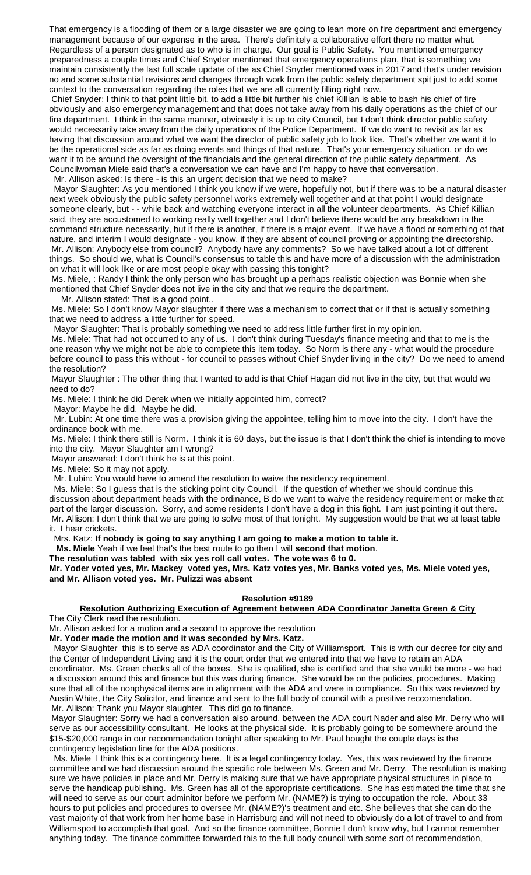That emergency is a flooding of them or a large disaster we are going to lean more on fire department and emergency management because of our expense in the area. There's definitely a collaborative effort there no matter what. Regardless of a person designated as to who is in charge. Our goal is Public Safety. You mentioned emergency preparedness a couple times and Chief Snyder mentioned that emergency operations plan, that is something we maintain consistently the last full scale update of the as Chief Snyder mentioned was in 2017 and that's under revision no and some substantial revisions and changes through work from the public safety department spit just to add some context to the conversation regarding the roles that we are all currently filling right now.

Chief Snyder: I think to that point little bit, to add a little bit further his chief Killian is able to bash his chief of fire obviously and also emergency management and that does not take away from his daily operations as the chief of our fire department. I think in the same manner, obviously it is up to city Council, but I don't think director public safety would necessarily take away from the daily operations of the Police Department. If we do want to revisit as far as having that discussion around what we want the director of public safety job to look like. That's whether we want it to be the operational side as far as doing events and things of that nature. That's your emergency situation, or do we want it to be around the oversight of the financials and the general direction of the public safety department. As Councilwoman Miele said that's a conversation we can have and I'm happy to have that conversation.

Mr. Allison asked: Is there - is this an urgent decision that we need to make?

 Mayor Slaughter: As you mentioned I think you know if we were, hopefully not, but if there was to be a natural disaster next week obviously the public safety personnel works extremely well together and at that point I would designate someone clearly, but - - while back and watching everyone interact in all the volunteer departments. As Chief Killian said, they are accustomed to working really well together and I don't believe there would be any breakdown in the command structure necessarily, but if there is another, if there is a major event. If we have a flood or something of that nature, and interim I would designate - you know, if they are absent of council proving or appointing the directorship. Mr. Allison: Anybody else from council? Anybody have any comments? So we have talked about a lot of different things. So should we, what is Council's consensus to table this and have more of a discussion with the administration on what it will look like or are most people okay with passing this tonight?

Ms. Miele, : Randy I think the only person who has brought up a perhaps realistic objection was Bonnie when she mentioned that Chief Snyder does not live in the city and that we require the department.

Mr. Allison stated: That is a good point..

Ms. Miele: So I don't know Mayor slaughter if there was a mechanism to correct that or if that is actually something that we need to address a little further for speed.

Mayor Slaughter: That is probably something we need to address little further first in my opinion.

Ms. Miele: That had not occurred to any of us. I don't think during Tuesday's finance meeting and that to me is the one reason why we might not be able to complete this item today. So Norm is there any - what would the procedure before council to pass this without - for council to passes without Chief Snyder living in the city? Do we need to amend the resolution?

Mayor Slaughter : The other thing that I wanted to add is that Chief Hagan did not live in the city, but that would we need to do?

Ms. Miele: I think he did Derek when we initially appointed him, correct?

Mayor: Maybe he did. Maybe he did.

 Mr. Lubin: At one time there was a provision giving the appointee, telling him to move into the city. I don't have the ordinance book with me.

Ms. Miele: I think there still is Norm. I think it is 60 days, but the issue is that I don't think the chief is intending to move into the city. Mayor Slaughter am I wrong?

Mayor answered: I don't think he is at this point.

Ms. Miele: So it may not apply.

Mr. Lubin: You would have to amend the resolution to waive the residency requirement.

 Ms. Miele: So I guess that is the sticking point city Council. If the question of whether we should continue this discussion about department heads with the ordinance, B do we want to waive the residency requirement or make that part of the larger discussion. Sorry, and some residents I don't have a dog in this fight. I am just pointing it out there. Mr. Allison: I don't think that we are going to solve most of that tonight. My suggestion would be that we at least table it. I hear crickets.

Mrs. Katz: **If nobody is going to say anything I am going to make a motion to table it.**

 **Ms. Miele** Yeah if we feel that's the best route to go then I will **second that motion**.

**The resolution was tabled with six yes roll call votes. The vote was 6 to 0.**

**Mr. Yoder voted yes, Mr. Mackey voted yes, Mrs. Katz votes yes, Mr. Banks voted yes, Ms. Miele voted yes, and Mr. Allison voted yes. Mr. Pulizzi was absent**

### **Resolution #9189**

## **Resolution Authorizing Execution of Agreement between ADA Coordinator Janetta Green & City**

The City Clerk read the resolution.

Mr. Allison asked for a motion and a second to approve the resolution

**Mr. Yoder made the motion and it was seconded by Mrs. Katz.**

 Mayor Slaughter this is to serve as ADA coordinator and the City of Williamsport. This is with our decree for city and the Center of Independent Living and it is the court order that we entered into that we have to retain an ADA coordinator. Ms. Green checks all of the boxes. She is qualified, she is certified and that she would be more - we had a discussion around this and finance but this was during finance. She would be on the policies, procedures. Making sure that all of the nonphysical items are in alignment with the ADA and were in compliance. So this was reviewed by Austin White, the City Solicitor, and finance and sent to the full body of council with a positive reccomendation. Mr. Allison: Thank you Mayor slaughter. This did go to finance.

Mayor Slaughter: Sorry we had a conversation also around, between the ADA court Nader and also Mr. Derry who will serve as our accessibility consultant. He looks at the physical side. It is probably going to be somewhere around the \$15-\$20,000 range in our recommendation tonight after speaking to Mr. Paul bought the couple days is the contingency legislation line for the ADA positions.

 Ms. Miele I think this is a contingency here. It is a legal contingency today. Yes, this was reviewed by the finance committee and we had discussion around the specific role between Ms. Green and Mr. Derry. The resolution is making sure we have policies in place and Mr. Derry is making sure that we have appropriate physical structures in place to serve the handicap publishing. Ms. Green has all of the appropriate certifications. She has estimated the time that she will need to serve as our court adminitor before we perform Mr. (NAME?) is trying to occupation the role. About 33 hours to put policies and procedures to oversee Mr. (NAME?)'s treatment and etc. She believes that she can do the vast majority of that work from her home base in Harrisburg and will not need to obviously do a lot of travel to and from Williamsport to accomplish that goal. And so the finance committee, Bonnie I don't know why, but I cannot remember anything today. The finance committee forwarded this to the full body council with some sort of recommendation,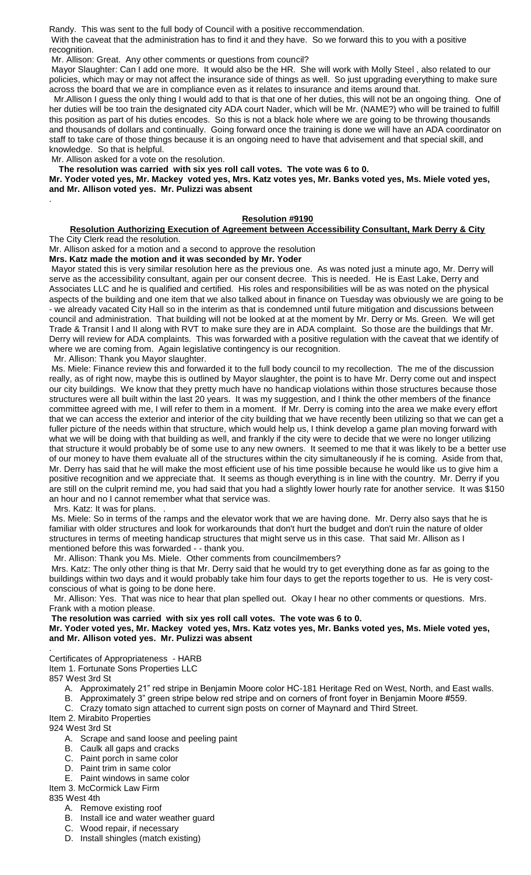Randy. This was sent to the full body of Council with a positive reccommendation.

With the caveat that the administration has to find it and they have. So we forward this to you with a positive recognition.

Mr. Allison: Great. Any other comments or questions from council?

Mayor Slaughter: Can I add one more. It would also be the HR. She will work with Molly Steel , also related to our policies, which may or may not affect the insurance side of things as well. So just upgrading everything to make sure across the board that we are in compliance even as it relates to insurance and items around that.

 Mr.Allison I guess the only thing I would add to that is that one of her duties, this will not be an ongoing thing. One of her duties will be too train the designated city ADA court Nader, which will be Mr. (NAME?) who will be trained to fulfill this position as part of his duties encodes. So this is not a black hole where we are going to be throwing thousands and thousands of dollars and continually. Going forward once the training is done we will have an ADA coordinator on staff to take care of those things because it is an ongoing need to have that advisement and that special skill, and knowledge. So that is helpful.

Mr. Allison asked for a vote on the resolution.

**The resolution was carried with six yes roll call votes. The vote was 6 to 0.**

**Mr. Yoder voted yes, Mr. Mackey voted yes, Mrs. Katz votes yes, Mr. Banks voted yes, Ms. Miele voted yes, and Mr. Allison voted yes. Mr. Pulizzi was absent**

## **Resolution #9190**

# **Resolution Authorizing Execution of Agreement between Accessibility Consultant, Mark Derry & City**

The City Clerk read the resolution.

.

Mr. Allison asked for a motion and a second to approve the resolution **Mrs. Katz made the motion and it was seconded by Mr. Yoder**

Mayor stated this is very similar resolution here as the previous one. As was noted just a minute ago, Mr. Derry will serve as the accessibility consultant, again per our consent decree. This is needed. He is East Lake, Derry and

Associates LLC and he is qualified and certified. His roles and responsibilities will be as was noted on the physical aspects of the building and one item that we also talked about in finance on Tuesday was obviously we are going to be - we already vacated City Hall so in the interim as that is condemned until future mitigation and discussions between council and administration. That building will not be looked at at the moment by Mr. Derry or Ms. Green. We will get Trade & Transit I and II along with RVT to make sure they are in ADA complaint. So those are the buildings that Mr. Derry will review for ADA complaints. This was forwarded with a positive regulation with the caveat that we identify of where we are coming from. Again legislative contingency is our recognition.

Mr. Allison: Thank you Mayor slaughter.

Ms. Miele: Finance review this and forwarded it to the full body council to my recollection. The me of the discussion really, as of right now, maybe this is outlined by Mayor slaughter, the point is to have Mr. Derry come out and inspect our city buildings. We know that they pretty much have no handicap violations within those structures because those structures were all built within the last 20 years. It was my suggestion, and I think the other members of the finance committee agreed with me, I will refer to them in a moment. If Mr. Derry is coming into the area we make every effort that we can access the exterior and interior of the city building that we have recently been utilizing so that we can get a fuller picture of the needs within that structure, which would help us, I think develop a game plan moving forward with what we will be doing with that building as well, and frankly if the city were to decide that we were no longer utilizing that structure it would probably be of some use to any new owners. It seemed to me that it was likely to be a better use of our money to have them evaluate all of the structures within the city simultaneously if he is coming. Aside from that, Mr. Derry has said that he will make the most efficient use of his time possible because he would like us to give him a positive recognition and we appreciate that. It seems as though everything is in line with the country. Mr. Derry if you are still on the culprit remind me, you had said that you had a slightly lower hourly rate for another service. It was \$150 an hour and no I cannot remember what that service was.

Mrs. Katz: It was for plans.

Ms. Miele: So in terms of the ramps and the elevator work that we are having done. Mr. Derry also says that he is familiar with older structures and look for workarounds that don't hurt the budget and don't ruin the nature of older structures in terms of meeting handicap structures that might serve us in this case. That said Mr. Allison as I mentioned before this was forwarded - - thank you.

Mr. Allison: Thank you Ms. Miele. Other comments from councilmembers?

Mrs. Katz: The only other thing is that Mr. Derry said that he would try to get everything done as far as going to the buildings within two days and it would probably take him four days to get the reports together to us. He is very costconscious of what is going to be done here.

 Mr. Allison: Yes. That was nice to hear that plan spelled out. Okay I hear no other comments or questions. Mrs. Frank with a motion please.

**The resolution was carried with six yes roll call votes. The vote was 6 to 0.**

**Mr. Yoder voted yes, Mr. Mackey voted yes, Mrs. Katz votes yes, Mr. Banks voted yes, Ms. Miele voted yes, and Mr. Allison voted yes. Mr. Pulizzi was absent**

Certificates of Appropriateness - HARB

Item 1. Fortunate Sons Properties LLC

857 West 3rd St

.

- A. Approximately 21" red stripe in Benjamin Moore color HC-181 Heritage Red on West, North, and East walls.
- B. Approximately 3" green stripe below red stripe and on corners of front foyer in Benjamin Moore #559.

C. Crazy tomato sign attached to current sign posts on corner of Maynard and Third Street.

Item 2. Mirabito Properties 924 West 3rd St

- A. Scrape and sand loose and peeling paint
- B. Caulk all gaps and cracks
- C. Paint porch in same color
- D. Paint trim in same color
- E. Paint windows in same color

Item 3. McCormick Law Firm

835 West 4th

- A. Remove existing roof
- B. Install ice and water weather guard
- C. Wood repair, if necessary
- D. Install shingles (match existing)